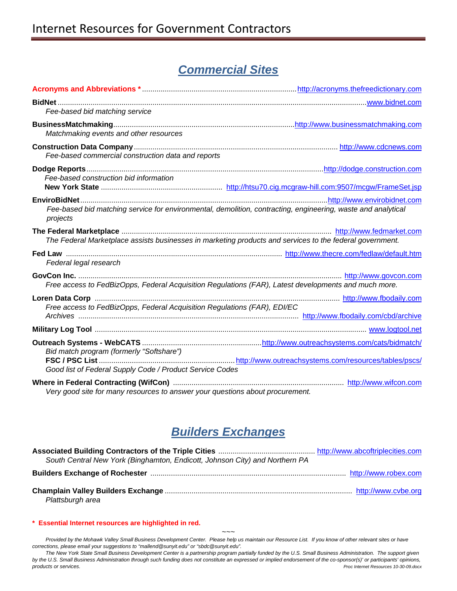# *Commercial Sites*

| Fee-based bid matching service                                                                           |                                                                                                              |
|----------------------------------------------------------------------------------------------------------|--------------------------------------------------------------------------------------------------------------|
| Matchmaking events and other resources                                                                   |                                                                                                              |
| Fee-based commercial construction data and reports                                                       |                                                                                                              |
|                                                                                                          |                                                                                                              |
| Fee-based construction bid information                                                                   |                                                                                                              |
| projects                                                                                                 | Fee-based bid matching service for environmental, demolition, contracting, engineering, waste and analytical |
| The Federal Marketplace assists businesses in marketing products and services to the federal government. |                                                                                                              |
| Federal legal research                                                                                   |                                                                                                              |
| Free access to FedBizOpps, Federal Acquisition Regulations (FAR), Latest developments and much more.     |                                                                                                              |
| Free access to FedBizOpps, Federal Acquisition Regulations (FAR), EDI/EC                                 |                                                                                                              |
|                                                                                                          |                                                                                                              |
| Bid match program (formerly "Softshare")<br>Good list of Federal Supply Code / Product Service Codes     |                                                                                                              |
| Very good site for many resources to answer your questions about procurement.                            |                                                                                                              |

# *Builders Exchanges*

| South Central New York (Binghamton, Endicott, Johnson City) and Northern PA |  |  |
|-----------------------------------------------------------------------------|--|--|
|                                                                             |  |  |
| Plattsburgh area                                                            |  |  |

#### **[\\* Essential Internet resources are highlighted in red.](http://www.pr.doe.gov/)**

*~~~ Provided by the Mohawk Valley Small Business Development Center. Please help us maintain our Resource List. If you know of other relevant sites or have corrections, please email your suggestions to "mallend@sunyit.edu" or "sbdc@sunyit.edu".* 

The New York State Small Business Development Center is a partnership program partially funded by the U.S. Small Business Administration. The support given *by the U.S. Small Business Administration through such funding does not constitute an expressed or implied endorsement of the co-sponsor(s)' or participants' opinions, products or services. Proc Internet Resources 10-30-09.docx*